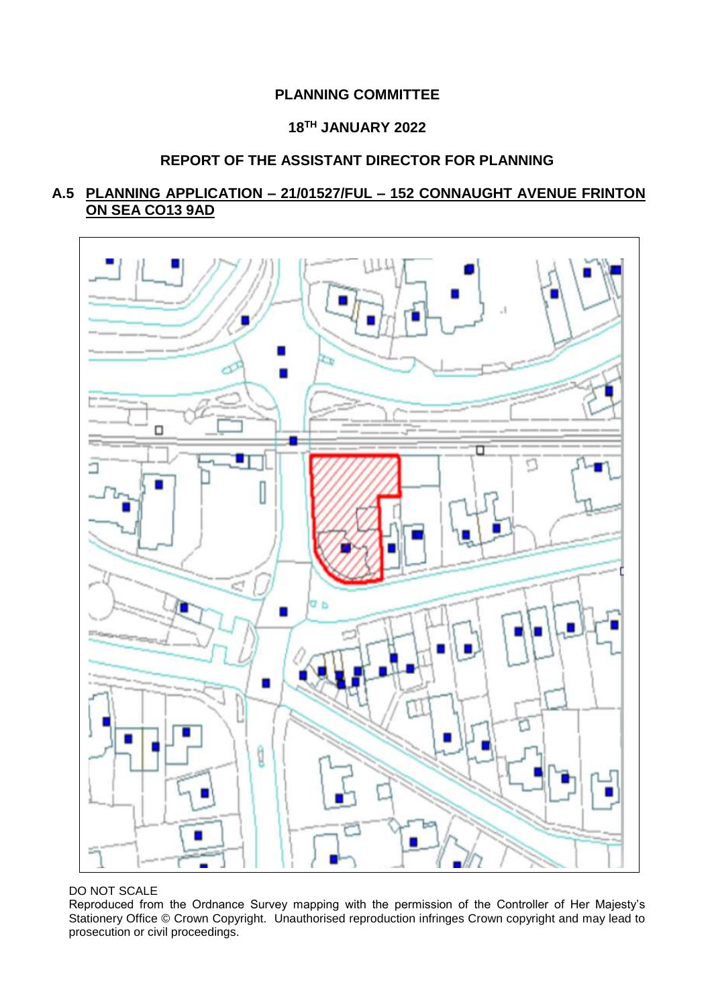# **PLANNING COMMITTEE**

# **18TH JANUARY 2022**

# **REPORT OF THE ASSISTANT DIRECTOR FOR PLANNING**

# **A.5 PLANNING APPLICATION – 21/01527/FUL – 152 CONNAUGHT AVENUE FRINTON ON SEA CO13 9AD**



## DO NOT SCALE

Reproduced from the Ordnance Survey mapping with the permission of the Controller of Her Majesty's Stationery Office © Crown Copyright. Unauthorised reproduction infringes Crown copyright and may lead to prosecution or civil proceedings.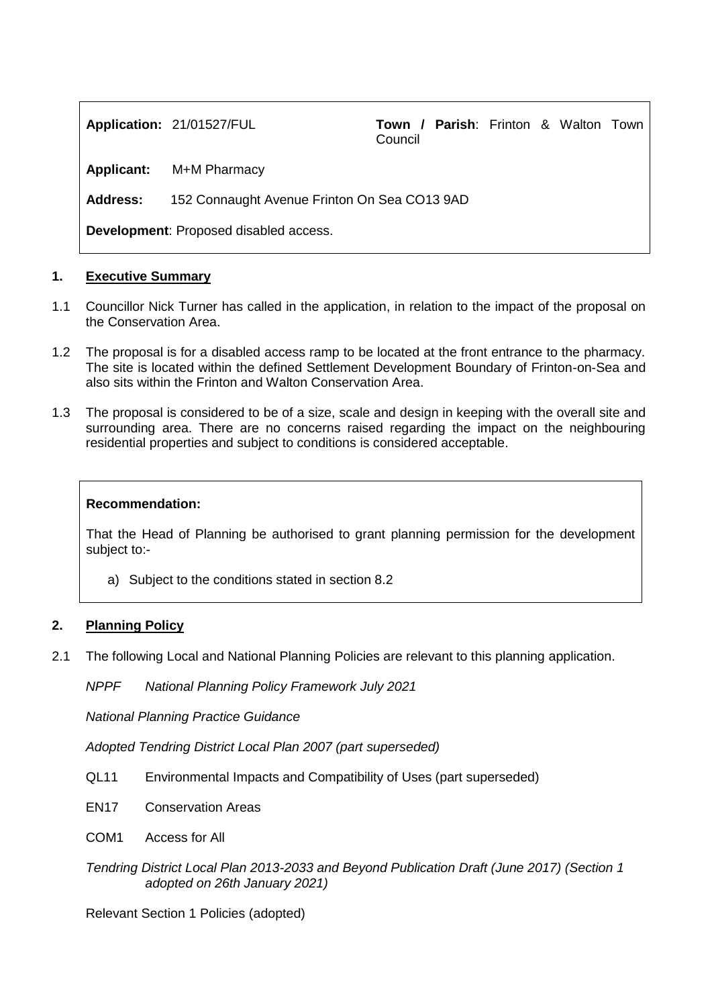**Application:** 21/01527/FUL **Town / Parish**: Frinton & Walton Town Council

**Applicant:** M+M Pharmacy

**Address:** 152 Connaught Avenue Frinton On Sea CO13 9AD

**Development**: Proposed disabled access.

## **1. Executive Summary**

- 1.1 Councillor Nick Turner has called in the application, in relation to the impact of the proposal on the Conservation Area.
- 1.2 The proposal is for a disabled access ramp to be located at the front entrance to the pharmacy. The site is located within the defined Settlement Development Boundary of Frinton-on-Sea and also sits within the Frinton and Walton Conservation Area.
- 1.3 The proposal is considered to be of a size, scale and design in keeping with the overall site and surrounding area. There are no concerns raised regarding the impact on the neighbouring residential properties and subject to conditions is considered acceptable.

#### **Recommendation:**

That the Head of Planning be authorised to grant planning permission for the development subject to:-

a) Subject to the conditions stated in section 8.2

#### **2. Planning Policy**

2.1 The following Local and National Planning Policies are relevant to this planning application.

*NPPF National Planning Policy Framework July 2021*

*National Planning Practice Guidance*

*Adopted Tendring District Local Plan 2007 (part superseded)*

- QL11 Environmental Impacts and Compatibility of Uses (part superseded)
- EN17 Conservation Areas
- COM1 Access for All
- *Tendring District Local Plan 2013-2033 and Beyond Publication Draft (June 2017) (Section 1 adopted on 26th January 2021)*

Relevant Section 1 Policies (adopted)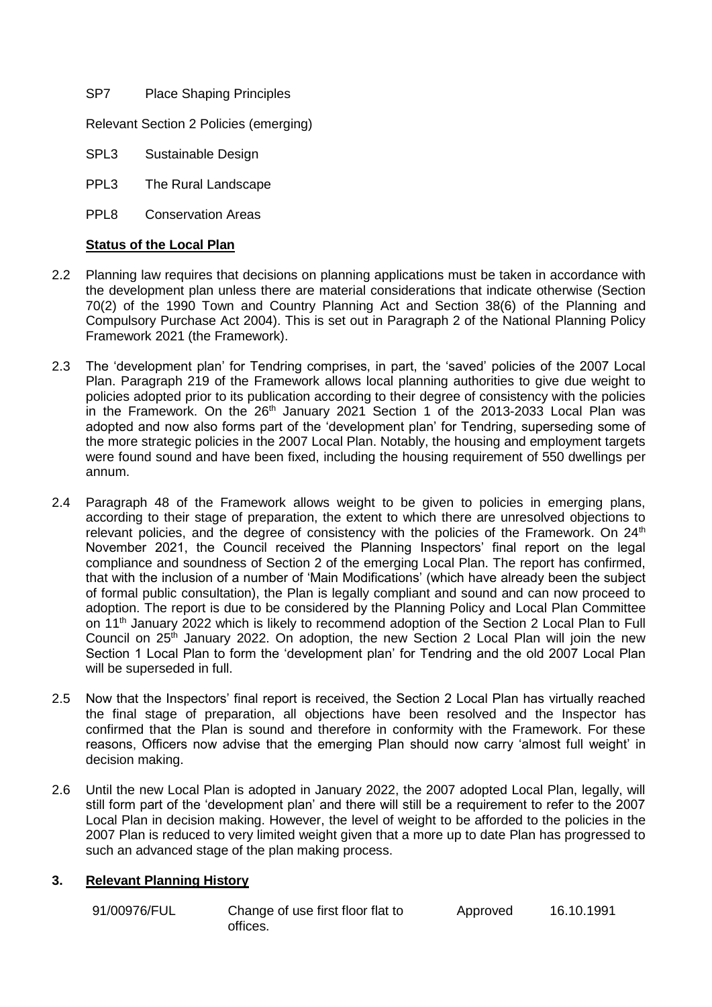SP7 Place Shaping Principles

Relevant Section 2 Policies (emerging)

SPL3 Sustainable Design

- PPL3 The Rural Landscape
- PPL8 Conservation Areas

## **Status of the Local Plan**

- 2.2 Planning law requires that decisions on planning applications must be taken in accordance with the development plan unless there are material considerations that indicate otherwise (Section 70(2) of the 1990 Town and Country Planning Act and Section 38(6) of the Planning and Compulsory Purchase Act 2004). This is set out in Paragraph 2 of the National Planning Policy Framework 2021 (the Framework).
- 2.3 The 'development plan' for Tendring comprises, in part, the 'saved' policies of the 2007 Local Plan. Paragraph 219 of the Framework allows local planning authorities to give due weight to policies adopted prior to its publication according to their degree of consistency with the policies in the Framework. On the 26<sup>th</sup> January 2021 Section 1 of the 2013-2033 Local Plan was adopted and now also forms part of the 'development plan' for Tendring, superseding some of the more strategic policies in the 2007 Local Plan. Notably, the housing and employment targets were found sound and have been fixed, including the housing requirement of 550 dwellings per annum.
- 2.4 Paragraph 48 of the Framework allows weight to be given to policies in emerging plans, according to their stage of preparation, the extent to which there are unresolved objections to relevant policies, and the degree of consistency with the policies of the Framework. On 24<sup>th</sup> November 2021, the Council received the Planning Inspectors' final report on the legal compliance and soundness of Section 2 of the emerging Local Plan. The report has confirmed, that with the inclusion of a number of 'Main Modifications' (which have already been the subject of formal public consultation), the Plan is legally compliant and sound and can now proceed to adoption. The report is due to be considered by the Planning Policy and Local Plan Committee on 11<sup>th</sup> January 2022 which is likely to recommend adoption of the Section 2 Local Plan to Full Council on 25<sup>th</sup> January 2022. On adoption, the new Section 2 Local Plan will join the new Section 1 Local Plan to form the 'development plan' for Tendring and the old 2007 Local Plan will be superseded in full.
- 2.5 Now that the Inspectors' final report is received, the Section 2 Local Plan has virtually reached the final stage of preparation, all objections have been resolved and the Inspector has confirmed that the Plan is sound and therefore in conformity with the Framework. For these reasons, Officers now advise that the emerging Plan should now carry 'almost full weight' in decision making.
- 2.6 Until the new Local Plan is adopted in January 2022, the 2007 adopted Local Plan, legally, will still form part of the 'development plan' and there will still be a requirement to refer to the 2007 Local Plan in decision making. However, the level of weight to be afforded to the policies in the 2007 Plan is reduced to very limited weight given that a more up to date Plan has progressed to such an advanced stage of the plan making process.

# **3. Relevant Planning History**

91/00976/FUL Change of use first floor flat to offices.

Approved 16.10.1991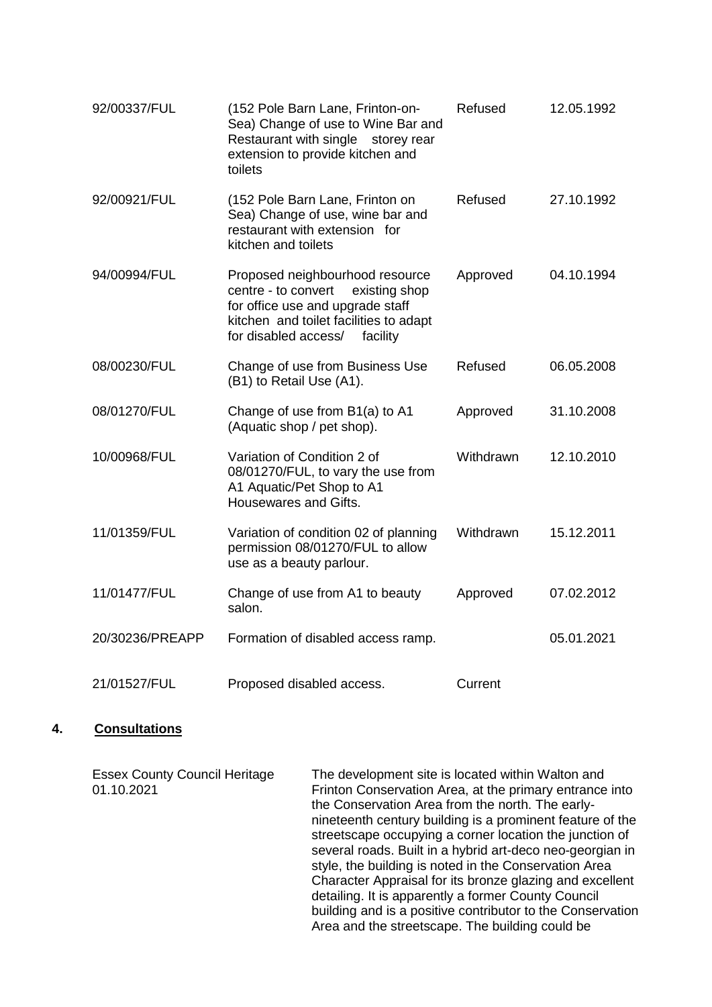| 92/00337/FUL    | (152 Pole Barn Lane, Frinton-on-<br>Sea) Change of use to Wine Bar and<br>Restaurant with single<br>storey rear<br>extension to provide kitchen and<br>toilets                            | Refused   | 12.05.1992 |
|-----------------|-------------------------------------------------------------------------------------------------------------------------------------------------------------------------------------------|-----------|------------|
| 92/00921/FUL    | (152 Pole Barn Lane, Frinton on<br>Sea) Change of use, wine bar and<br>restaurant with extension for<br>kitchen and toilets                                                               | Refused   | 27.10.1992 |
| 94/00994/FUL    | Proposed neighbourhood resource<br>centre - to convert<br>existing shop<br>for office use and upgrade staff<br>kitchen and toilet facilities to adapt<br>for disabled access/<br>facility | Approved  | 04.10.1994 |
| 08/00230/FUL    | Change of use from Business Use<br>(B1) to Retail Use (A1).                                                                                                                               | Refused   | 06.05.2008 |
| 08/01270/FUL    | Change of use from B1(a) to A1<br>(Aquatic shop / pet shop).                                                                                                                              | Approved  | 31.10.2008 |
| 10/00968/FUL    | Variation of Condition 2 of<br>08/01270/FUL, to vary the use from<br>A1 Aquatic/Pet Shop to A1<br>Housewares and Gifts.                                                                   | Withdrawn | 12.10.2010 |
| 11/01359/FUL    | Variation of condition 02 of planning<br>permission 08/01270/FUL to allow<br>use as a beauty parlour.                                                                                     | Withdrawn | 15.12.2011 |
| 11/01477/FUL    | Change of use from A1 to beauty<br>salon.                                                                                                                                                 | Approved  | 07.02.2012 |
| 20/30236/PREAPP | Formation of disabled access ramp.                                                                                                                                                        |           | 05.01.2021 |
| 21/01527/FUL    | Proposed disabled access.                                                                                                                                                                 | Current   |            |

# **4. Consultations**

| <b>Essex County Council Heritage</b><br>01.10.2021 | The development site is located within Walton and<br>Frinton Conservation Area, at the primary entrance into<br>the Conservation Area from the north. The early-<br>nineteenth century building is a prominent feature of the<br>streetscape occupying a corner location the junction of<br>several roads. Built in a hybrid art-deco neo-georgian in<br>style, the building is noted in the Conservation Area<br>Character Appraisal for its bronze glazing and excellent<br>detailing. It is apparently a former County Council<br>building and is a positive contributor to the Conservation |
|----------------------------------------------------|-------------------------------------------------------------------------------------------------------------------------------------------------------------------------------------------------------------------------------------------------------------------------------------------------------------------------------------------------------------------------------------------------------------------------------------------------------------------------------------------------------------------------------------------------------------------------------------------------|
|                                                    | Area and the streetscape. The building could be                                                                                                                                                                                                                                                                                                                                                                                                                                                                                                                                                 |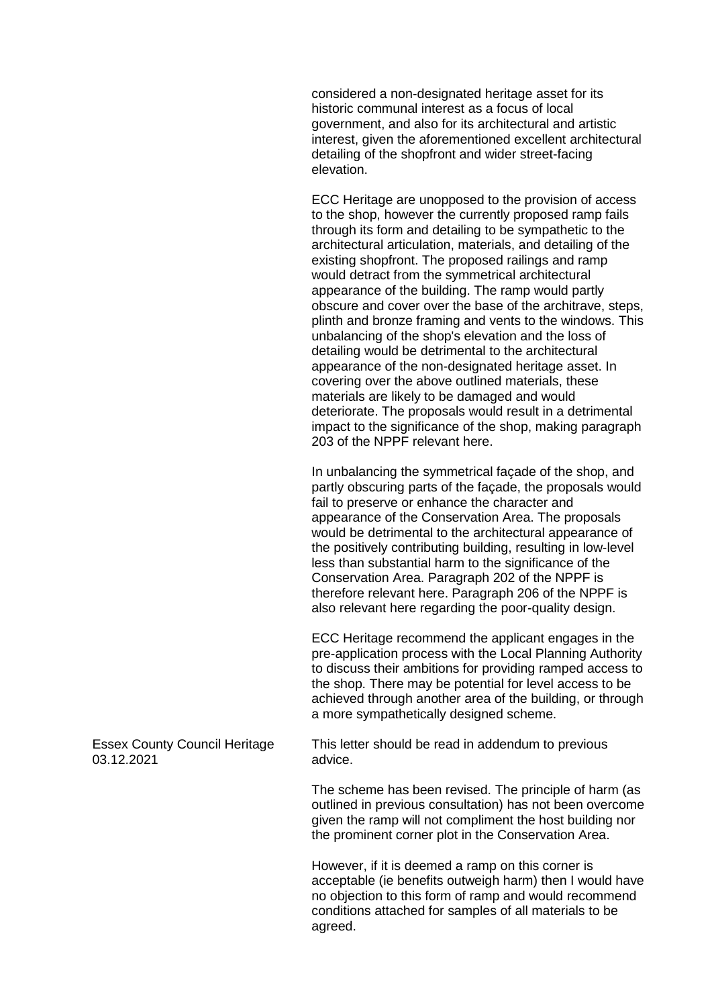considered a non-designated heritage asset for its historic communal interest as a focus of local government, and also for its architectural and artistic interest, given the aforementioned excellent architectural detailing of the shopfront and wider street-facing elevation.

ECC Heritage are unopposed to the provision of access to the shop, however the currently proposed ramp fails through its form and detailing to be sympathetic to the architectural articulation, materials, and detailing of the existing shopfront. The proposed railings and ramp would detract from the symmetrical architectural appearance of the building. The ramp would partly obscure and cover over the base of the architrave, steps, plinth and bronze framing and vents to the windows. This unbalancing of the shop's elevation and the loss of detailing would be detrimental to the architectural appearance of the non-designated heritage asset. In covering over the above outlined materials, these materials are likely to be damaged and would deteriorate. The proposals would result in a detrimental impact to the significance of the shop, making paragraph 203 of the NPPF relevant here.

In unbalancing the symmetrical façade of the shop, and partly obscuring parts of the façade, the proposals would fail to preserve or enhance the character and appearance of the Conservation Area. The proposals would be detrimental to the architectural appearance of the positively contributing building, resulting in low-level less than substantial harm to the significance of the Conservation Area. Paragraph 202 of the NPPF is therefore relevant here. Paragraph 206 of the NPPF is also relevant here regarding the poor-quality design.

ECC Heritage recommend the applicant engages in the pre-application process with the Local Planning Authority to discuss their ambitions for providing ramped access to the shop. There may be potential for level access to be achieved through another area of the building, or through a more sympathetically designed scheme.

Essex County Council Heritage 03.12.2021

This letter should be read in addendum to previous advice.

The scheme has been revised. The principle of harm (as outlined in previous consultation) has not been overcome given the ramp will not compliment the host building nor the prominent corner plot in the Conservation Area.

However, if it is deemed a ramp on this corner is acceptable (ie benefits outweigh harm) then I would have no objection to this form of ramp and would recommend conditions attached for samples of all materials to be agreed.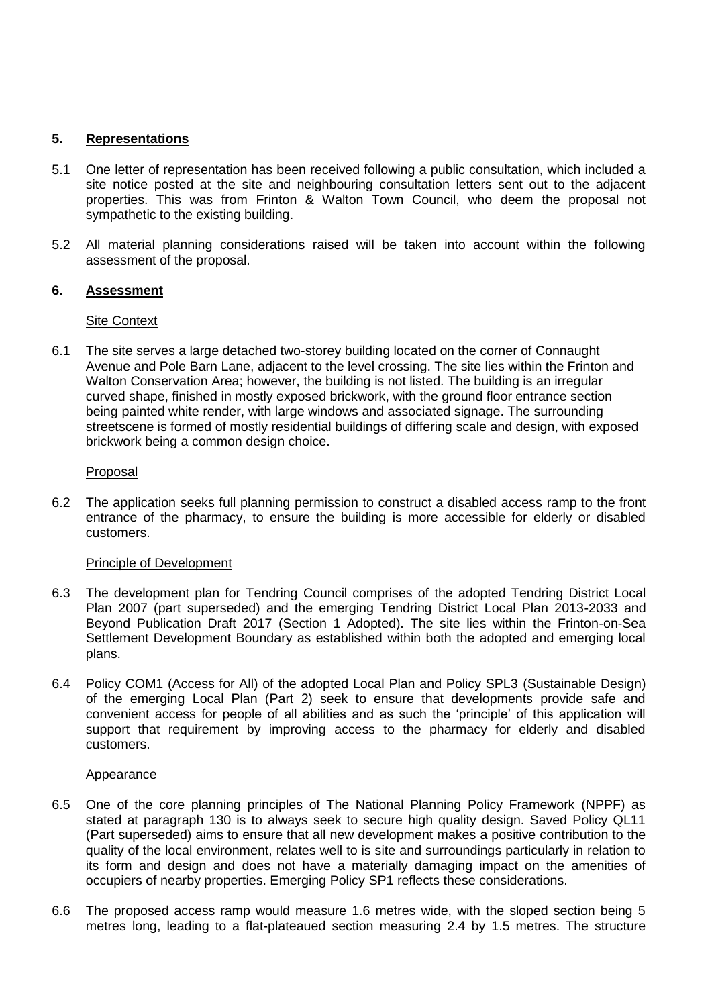## **5. Representations**

- 5.1 One letter of representation has been received following a public consultation, which included a site notice posted at the site and neighbouring consultation letters sent out to the adjacent properties. This was from Frinton & Walton Town Council, who deem the proposal not sympathetic to the existing building.
- 5.2 All material planning considerations raised will be taken into account within the following assessment of the proposal.

## **6. Assessment**

#### Site Context

6.1 The site serves a large detached two-storey building located on the corner of Connaught Avenue and Pole Barn Lane, adjacent to the level crossing. The site lies within the Frinton and Walton Conservation Area; however, the building is not listed. The building is an irregular curved shape, finished in mostly exposed brickwork, with the ground floor entrance section being painted white render, with large windows and associated signage. The surrounding streetscene is formed of mostly residential buildings of differing scale and design, with exposed brickwork being a common design choice.

## Proposal

6.2 The application seeks full planning permission to construct a disabled access ramp to the front entrance of the pharmacy, to ensure the building is more accessible for elderly or disabled customers.

#### Principle of Development

- 6.3 The development plan for Tendring Council comprises of the adopted Tendring District Local Plan 2007 (part superseded) and the emerging Tendring District Local Plan 2013-2033 and Beyond Publication Draft 2017 (Section 1 Adopted). The site lies within the Frinton-on-Sea Settlement Development Boundary as established within both the adopted and emerging local plans.
- 6.4 Policy COM1 (Access for All) of the adopted Local Plan and Policy SPL3 (Sustainable Design) of the emerging Local Plan (Part 2) seek to ensure that developments provide safe and convenient access for people of all abilities and as such the 'principle' of this application will support that requirement by improving access to the pharmacy for elderly and disabled customers.

#### Appearance

- 6.5 One of the core planning principles of The National Planning Policy Framework (NPPF) as stated at paragraph 130 is to always seek to secure high quality design. Saved Policy QL11 (Part superseded) aims to ensure that all new development makes a positive contribution to the quality of the local environment, relates well to is site and surroundings particularly in relation to its form and design and does not have a materially damaging impact on the amenities of occupiers of nearby properties. Emerging Policy SP1 reflects these considerations.
- 6.6 The proposed access ramp would measure 1.6 metres wide, with the sloped section being 5 metres long, leading to a flat-plateaued section measuring 2.4 by 1.5 metres. The structure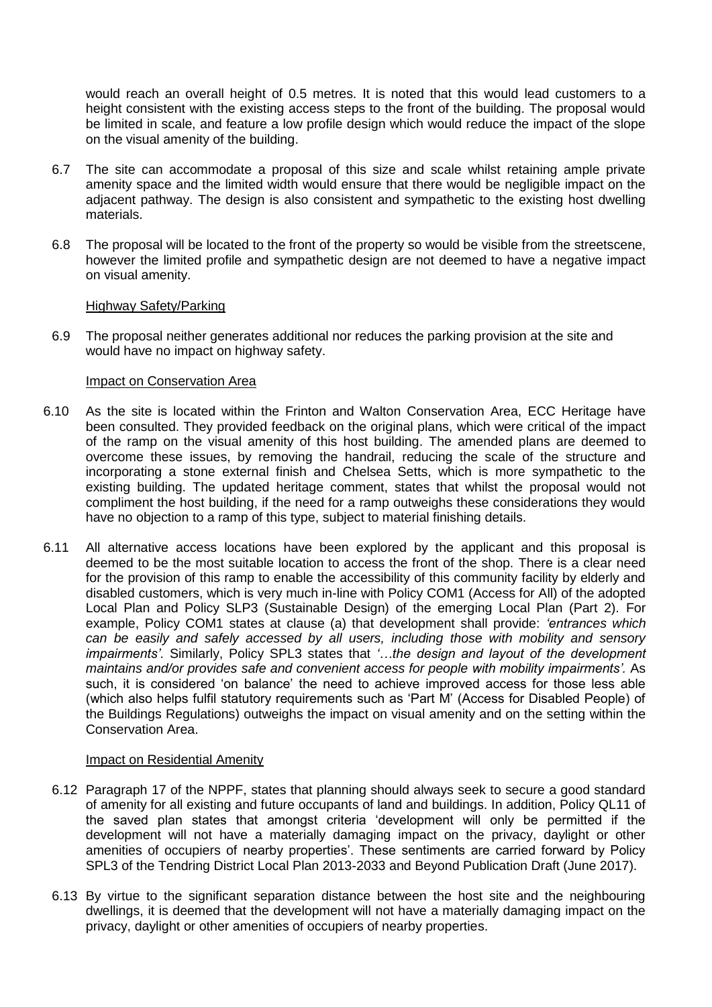would reach an overall height of 0.5 metres. It is noted that this would lead customers to a height consistent with the existing access steps to the front of the building. The proposal would be limited in scale, and feature a low profile design which would reduce the impact of the slope on the visual amenity of the building.

- 6.7 The site can accommodate a proposal of this size and scale whilst retaining ample private amenity space and the limited width would ensure that there would be negligible impact on the adjacent pathway. The design is also consistent and sympathetic to the existing host dwelling materials.
- 6.8 The proposal will be located to the front of the property so would be visible from the streetscene, however the limited profile and sympathetic design are not deemed to have a negative impact on visual amenity.

#### Highway Safety/Parking

6.9 The proposal neither generates additional nor reduces the parking provision at the site and would have no impact on highway safety.

#### Impact on Conservation Area

- 6.10 As the site is located within the Frinton and Walton Conservation Area, ECC Heritage have been consulted. They provided feedback on the original plans, which were critical of the impact of the ramp on the visual amenity of this host building. The amended plans are deemed to overcome these issues, by removing the handrail, reducing the scale of the structure and incorporating a stone external finish and Chelsea Setts, which is more sympathetic to the existing building. The updated heritage comment, states that whilst the proposal would not compliment the host building, if the need for a ramp outweighs these considerations they would have no objection to a ramp of this type, subject to material finishing details.
- 6.11 All alternative access locations have been explored by the applicant and this proposal is deemed to be the most suitable location to access the front of the shop. There is a clear need for the provision of this ramp to enable the accessibility of this community facility by elderly and disabled customers, which is very much in-line with Policy COM1 (Access for All) of the adopted Local Plan and Policy SLP3 (Sustainable Design) of the emerging Local Plan (Part 2). For example, Policy COM1 states at clause (a) that development shall provide: *'entrances which can be easily and safely accessed by all users, including those with mobility and sensory impairments'.* Similarly, Policy SPL3 states that *'…the design and layout of the development maintains and/or provides safe and convenient access for people with mobility impairments'.* As such, it is considered 'on balance' the need to achieve improved access for those less able (which also helps fulfil statutory requirements such as 'Part M' (Access for Disabled People) of the Buildings Regulations) outweighs the impact on visual amenity and on the setting within the Conservation Area.

#### Impact on Residential Amenity

- 6.12 Paragraph 17 of the NPPF, states that planning should always seek to secure a good standard of amenity for all existing and future occupants of land and buildings. In addition, Policy QL11 of the saved plan states that amongst criteria 'development will only be permitted if the development will not have a materially damaging impact on the privacy, daylight or other amenities of occupiers of nearby properties'. These sentiments are carried forward by Policy SPL3 of the Tendring District Local Plan 2013-2033 and Beyond Publication Draft (June 2017).
- 6.13 By virtue to the significant separation distance between the host site and the neighbouring dwellings, it is deemed that the development will not have a materially damaging impact on the privacy, daylight or other amenities of occupiers of nearby properties.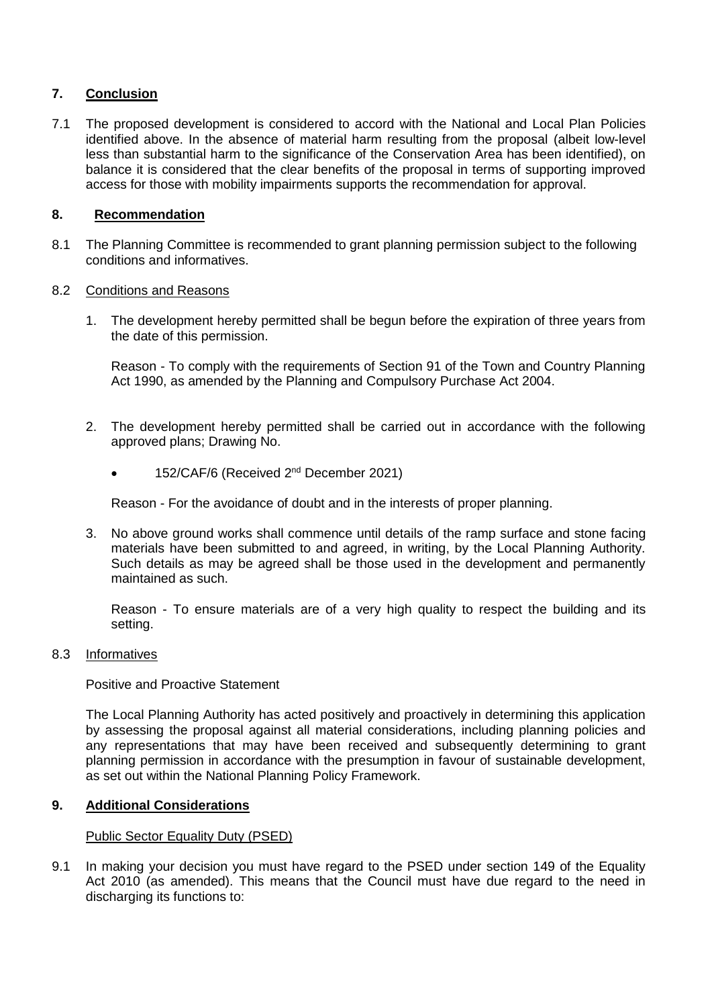## **7. Conclusion**

7.1 The proposed development is considered to accord with the National and Local Plan Policies identified above. In the absence of material harm resulting from the proposal (albeit low-level less than substantial harm to the significance of the Conservation Area has been identified), on balance it is considered that the clear benefits of the proposal in terms of supporting improved access for those with mobility impairments supports the recommendation for approval.

## **8. Recommendation**

8.1 The Planning Committee is recommended to grant planning permission subject to the following conditions and informatives.

#### 8.2 Conditions and Reasons

1. The development hereby permitted shall be begun before the expiration of three years from the date of this permission.

Reason - To comply with the requirements of Section 91 of the Town and Country Planning Act 1990, as amended by the Planning and Compulsory Purchase Act 2004.

- 2. The development hereby permitted shall be carried out in accordance with the following approved plans; Drawing No.
	- 152/CAF/6 (Received 2<sup>nd</sup> December 2021)

Reason - For the avoidance of doubt and in the interests of proper planning.

3. No above ground works shall commence until details of the ramp surface and stone facing materials have been submitted to and agreed, in writing, by the Local Planning Authority. Such details as may be agreed shall be those used in the development and permanently maintained as such.

Reason - To ensure materials are of a very high quality to respect the building and its setting.

#### 8.3 Informatives

Positive and Proactive Statement

The Local Planning Authority has acted positively and proactively in determining this application by assessing the proposal against all material considerations, including planning policies and any representations that may have been received and subsequently determining to grant planning permission in accordance with the presumption in favour of sustainable development, as set out within the National Planning Policy Framework.

#### **9. Additional Considerations**

#### Public Sector Equality Duty (PSED)

9.1 In making your decision you must have regard to the PSED under section 149 of the Equality Act 2010 (as amended). This means that the Council must have due regard to the need in discharging its functions to: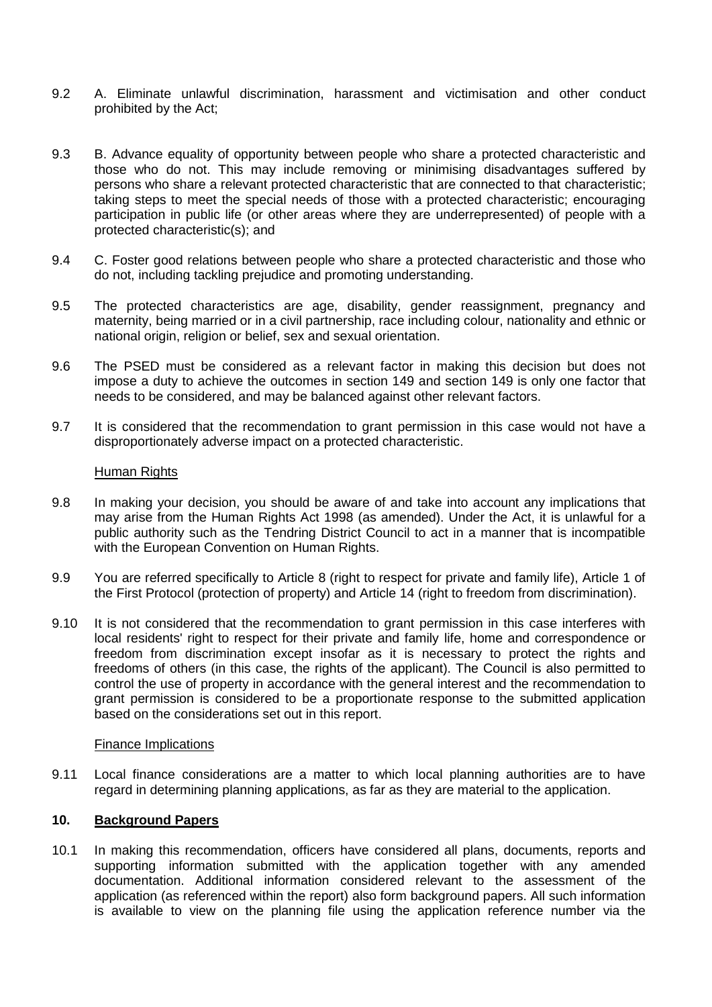- 9.2 A. Eliminate unlawful discrimination, harassment and victimisation and other conduct prohibited by the Act;
- 9.3 B. Advance equality of opportunity between people who share a protected characteristic and those who do not. This may include removing or minimising disadvantages suffered by persons who share a relevant protected characteristic that are connected to that characteristic; taking steps to meet the special needs of those with a protected characteristic; encouraging participation in public life (or other areas where they are underrepresented) of people with a protected characteristic(s); and
- 9.4 C. Foster good relations between people who share a protected characteristic and those who do not, including tackling prejudice and promoting understanding.
- 9.5 The protected characteristics are age, disability, gender reassignment, pregnancy and maternity, being married or in a civil partnership, race including colour, nationality and ethnic or national origin, religion or belief, sex and sexual orientation.
- 9.6 The PSED must be considered as a relevant factor in making this decision but does not impose a duty to achieve the outcomes in section 149 and section 149 is only one factor that needs to be considered, and may be balanced against other relevant factors.
- 9.7 It is considered that the recommendation to grant permission in this case would not have a disproportionately adverse impact on a protected characteristic.

#### Human Rights

- 9.8 In making your decision, you should be aware of and take into account any implications that may arise from the Human Rights Act 1998 (as amended). Under the Act, it is unlawful for a public authority such as the Tendring District Council to act in a manner that is incompatible with the European Convention on Human Rights.
- 9.9 You are referred specifically to Article 8 (right to respect for private and family life), Article 1 of the First Protocol (protection of property) and Article 14 (right to freedom from discrimination).
- 9.10 It is not considered that the recommendation to grant permission in this case interferes with local residents' right to respect for their private and family life, home and correspondence or freedom from discrimination except insofar as it is necessary to protect the rights and freedoms of others (in this case, the rights of the applicant). The Council is also permitted to control the use of property in accordance with the general interest and the recommendation to grant permission is considered to be a proportionate response to the submitted application based on the considerations set out in this report.

#### Finance Implications

9.11 Local finance considerations are a matter to which local planning authorities are to have regard in determining planning applications, as far as they are material to the application.

## **10. Background Papers**

10.1 In making this recommendation, officers have considered all plans, documents, reports and supporting information submitted with the application together with any amended documentation. Additional information considered relevant to the assessment of the application (as referenced within the report) also form background papers. All such information is available to view on the planning file using the application reference number via the